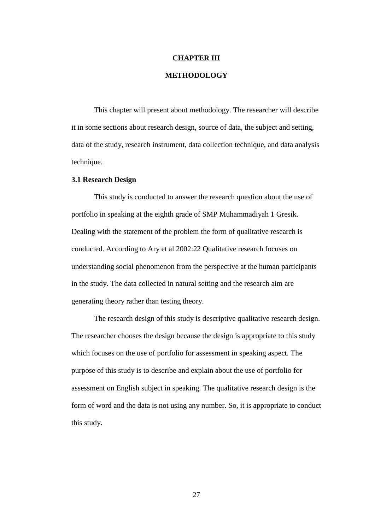# **CHAPTER III**

# **METHODOLOGY**

This chapter will present about methodology. The researcher will describe it in some sections about research design, source of data, the subject and setting, data of the study, research instrument, data collection technique, and data analysis technique.

#### **3.1 Research Design**

This study is conducted to answer the research question about the use of portfolio in speaking at the eighth grade of SMP Muhammadiyah 1 Gresik. Dealing with the statement of the problem the form of qualitative research is conducted. According to Ary et al 2002:22 Qualitative research focuses on understanding social phenomenon from the perspective at the human participants in the study. The data collected in natural setting and the research aim are generating theory rather than testing theory.

The research design of this study is descriptive qualitative research design. The researcher chooses the design because the design is appropriate to this study which focuses on the use of portfolio for assessment in speaking aspect. The purpose of this study is to describe and explain about the use of portfolio for assessment on English subject in speaking. The qualitative research design is the form of word and the data is not using any number. So, it is appropriate to conduct this study.

27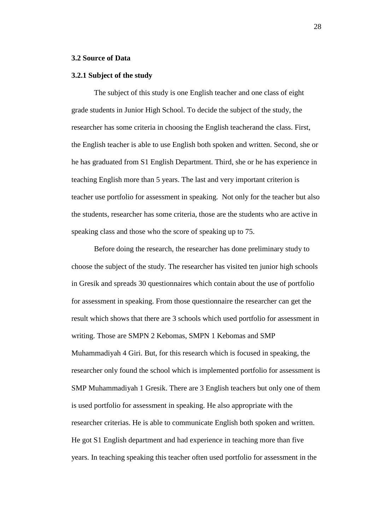# **3.2 Source of Data**

# **3.2.1 Subject of the study**

The subject of this study is one English teacher and one class of eight grade students in Junior High School. To decide the subject of the study, the researcher has some criteria in choosing the English teacherand the class. First, the English teacher is able to use English both spoken and written. Second, she or he has graduated from S1 English Department. Third, she or he has experience in teaching English more than 5 years. The last and very important criterion is teacher use portfolio for assessment in speaking. Not only for the teacher but also the students, researcher has some criteria, those are the students who are active in speaking class and those who the score of speaking up to 75.

Before doing the research, the researcher has done preliminary study to choose the subject of the study. The researcher has visited ten junior high schools in Gresik and spreads 30 questionnaires which contain about the use of portfolio for assessment in speaking. From those questionnaire the researcher can get the result which shows that there are 3 schools which used portfolio for assessment in writing. Those are SMPN 2 Kebomas, SMPN 1 Kebomas and SMP Muhammadiyah 4 Giri. But, for this research which is focused in speaking, the researcher only found the school which is implemented portfolio for assessment is SMP Muhammadiyah 1 Gresik. There are 3 English teachers but only one of them is used portfolio for assessment in speaking. He also appropriate with the researcher criterias. He is able to communicate English both spoken and written. He got S1 English department and had experience in teaching more than five years. In teaching speaking this teacher often used portfolio for assessment in the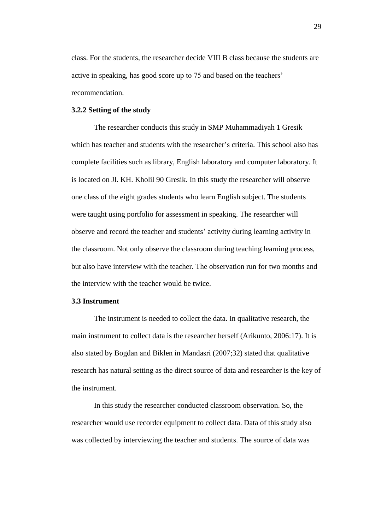class. For the students, the researcher decide VIII B class because the students are active in speaking, has good score up to 75 and based on the teachers' recommendation.

## **3.2.2 Setting of the study**

The researcher conducts this study in SMP Muhammadiyah 1 Gresik which has teacher and students with the researcher's criteria. This school also has complete facilities such as library, English laboratory and computer laboratory. It is located on Jl. KH. Kholil 90 Gresik. In this study the researcher will observe one class of the eight grades students who learn English subject. The students were taught using portfolio for assessment in speaking. The researcher will observe and record the teacher and students' activity during learning activity in the classroom. Not only observe the classroom during teaching learning process, but also have interview with the teacher. The observation run for two months and the interview with the teacher would be twice.

# **3.3 Instrument**

The instrument is needed to collect the data. In qualitative research, the main instrument to collect data is the researcher herself (Arikunto, 2006:17). It is also stated by Bogdan and Biklen in Mandasri (2007;32) stated that qualitative research has natural setting as the direct source of data and researcher is the key of the instrument.

In this study the researcher conducted classroom observation. So, the researcher would use recorder equipment to collect data. Data of this study also was collected by interviewing the teacher and students. The source of data was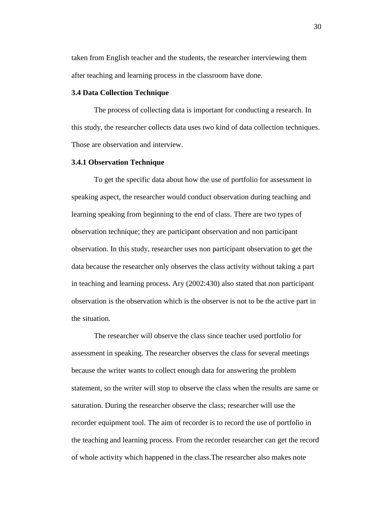taken from English teacher and the students, the researcher interviewing them after teaching and learning process in the classroom have done.

### **3.4 Data Collection Technique**

The process of collecting data is important for conducting a research. In this study, the researcher collects data uses two kind of data collection techniques. Those are observation and interview.

## **3.4.1 Observation Technique**

To get the specific data about how the use of portfolio for assessment in speaking aspect, the researcher would conduct observation during teaching and learning speaking from beginning to the end of class. There are two types of observation technique; they are participant observation and non participant observation. In this study, researcher uses non participant observation to get the data because the researcher only observes the class activity without taking a part in teaching and learning process. Ary (2002:430) also stated that non participant observation is the observation which is the observer is not to be the active part in the situation.

The researcher will observe the class since teacher used portfolio for assessment in speaking. The researcher observes the class for several meetings because the writer wants to collect enough data for answering the problem statement, so the writer will stop to observe the class when the results are same or saturation. During the researcher observe the class; researcher will use the recorder equipment tool. The aim of recorder is to record the use of portfolio in the teaching and learning process. From the recorder researcher can get the record of whole activity which happened in the class.The researcher also makes note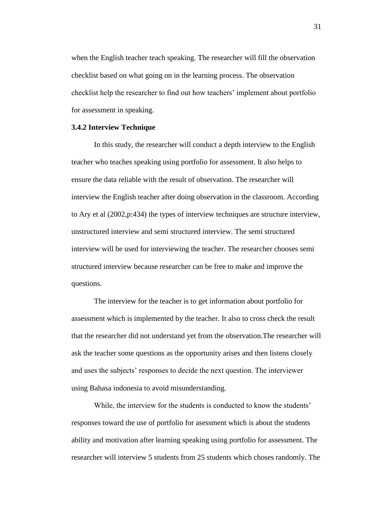when the English teacher teach speaking. The researcher will fill the observation checklist based on what going on in the learning process. The observation checklist help the researcher to find out how teachers' implement about portfolio for assessment in speaking.

#### **3.4.2 Interview Technique**

In this study, the researcher will conduct a depth interview to the English teacher who teaches speaking using portfolio for assessment. It also helps to ensure the data reliable with the result of observation. The researcher will interview the English teacher after doing observation in the classroom. According to Ary et al (2002,p:434) the types of interview techniques are structure interview, unstructured interview and semi structured interview. The semi structured interview will be used for interviewing the teacher. The researcher chooses semi structured interview because researcher can be free to make and improve the questions.

The interview for the teacher is to get information about portfolio for assessment which is implemented by the teacher. It also to cross check the result that the researcher did not understand yet from the observation.The researcher will ask the teacher some questions as the opportunity arises and then listens closely and uses the subjects' responses to decide the next question. The interviewer using Bahasa indonesia to avoid misunderstanding.

While, the interview for the students is conducted to know the students' responses toward the use of portfolio for asessment which is about the students ability and motivation after learning speaking using portfolio for assessment. The researcher will interview 5 students from 25 students which choses randomly. The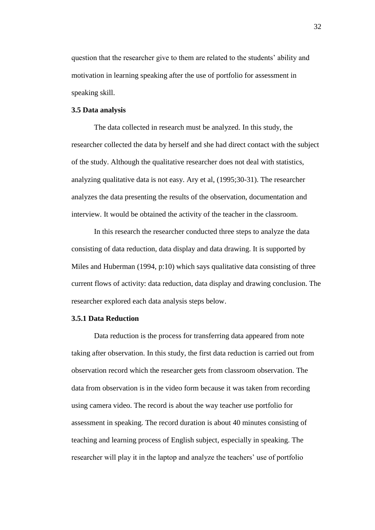question that the researcher give to them are related to the students' ability and motivation in learning speaking after the use of portfolio for assessment in speaking skill.

# **3.5 Data analysis**

The data collected in research must be analyzed. In this study, the researcher collected the data by herself and she had direct contact with the subject of the study. Although the qualitative researcher does not deal with statistics, analyzing qualitative data is not easy. Ary et al, (1995;30-31). The researcher analyzes the data presenting the results of the observation, documentation and interview. It would be obtained the activity of the teacher in the classroom.

In this research the researcher conducted three steps to analyze the data consisting of data reduction, data display and data drawing. It is supported by Miles and Huberman (1994, p:10) which says qualitative data consisting of three current flows of activity: data reduction, data display and drawing conclusion. The researcher explored each data analysis steps below.

#### **3.5.1 Data Reduction**

Data reduction is the process for transferring data appeared from note taking after observation. In this study, the first data reduction is carried out from observation record which the researcher gets from classroom observation. The data from observation is in the video form because it was taken from recording using camera video. The record is about the way teacher use portfolio for assessment in speaking. The record duration is about 40 minutes consisting of teaching and learning process of English subject, especially in speaking. The researcher will play it in the laptop and analyze the teachers' use of portfolio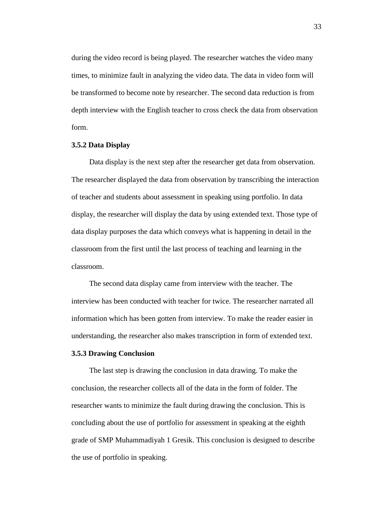during the video record is being played. The researcher watches the video many times, to minimize fault in analyzing the video data. The data in video form will be transformed to become note by researcher. The second data reduction is from depth interview with the English teacher to cross check the data from observation form.

## **3.5.2 Data Display**

Data display is the next step after the researcher get data from observation. The researcher displayed the data from observation by transcribing the interaction of teacher and students about assessment in speaking using portfolio. In data display, the researcher will display the data by using extended text. Those type of data display purposes the data which conveys what is happening in detail in the classroom from the first until the last process of teaching and learning in the classroom.

The second data display came from interview with the teacher. The interview has been conducted with teacher for twice. The researcher narrated all information which has been gotten from interview. To make the reader easier in understanding, the researcher also makes transcription in form of extended text.

# **3.5.3 Drawing Conclusion**

The last step is drawing the conclusion in data drawing. To make the conclusion, the researcher collects all of the data in the form of folder. The researcher wants to minimize the fault during drawing the conclusion. This is concluding about the use of portfolio for assessment in speaking at the eighth grade of SMP Muhammadiyah 1 Gresik. This conclusion is designed to describe the use of portfolio in speaking.